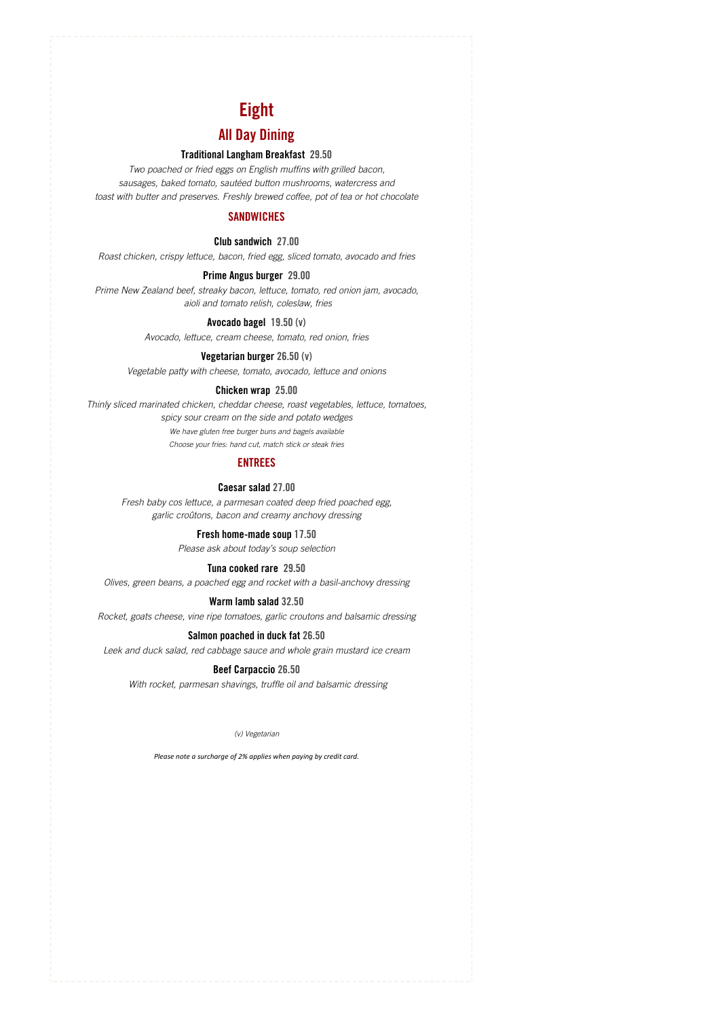# Eight

# All Day Dining

#### Traditional Langham Breakfast 29.50

Two poached or fried eggs on English muffins with grilled bacon, sausages, baked tomato, sautéed button mushrooms, watercress and toast with butter and preserves. Freshly brewed coffee, pot of tea or hot chocolate

## **SANDWICHES**

Club sandwich 27.00

Roast chicken, crispy lettuce, bacon, fried egg, sliced tomato, avocado and fries

#### Prime Angus burger 29.00

Prime New Zealand beef, streaky bacon, lettuce, tomato, red onion jam, avocado, aioli and tomato relish, coleslaw, fries

#### Avocado bagel 19.50 (v)

Avocado, lettuce, cream cheese, tomato, red onion, fries

#### Vegetarian burger 26.50 (v)

Vegetable patty with cheese, tomato, avocado, lettuce and onions

#### Chicken wrap 25.00

Thinly sliced marinated chicken, cheddar cheese, roast vegetables, lettuce, tomatoes, spicy sour cream on the side and potato wedges We have gluten free burger buns and bagels available Choose your fries: hand cut, match stick or steak fries

# ENTREES

#### Caesar salad 27.00

Fresh baby cos lettuce, a parmesan coated deep fried poached egg, garlic croûtons, bacon and creamy anchovy dressing

#### Fresh home-made soup 17.50

Please ask about today's soup selection

#### Tuna cooked rare 29.50

Olives, green beans, a poached egg and rocket with a basil-anchovy dressing

#### Warm lamb salad 32.50

Rocket, goats cheese, vine ripe tomatoes, garlic croutons and balsamic dressing

#### Salmon poached in duck fat 26.50

Leek and duck salad, red cabbage sauce and whole grain mustard ice cream

#### Beef Carpaccio 26.50

With rocket, parmesan shavings, truffle oil and balsamic dressing

(v) Vegetarian